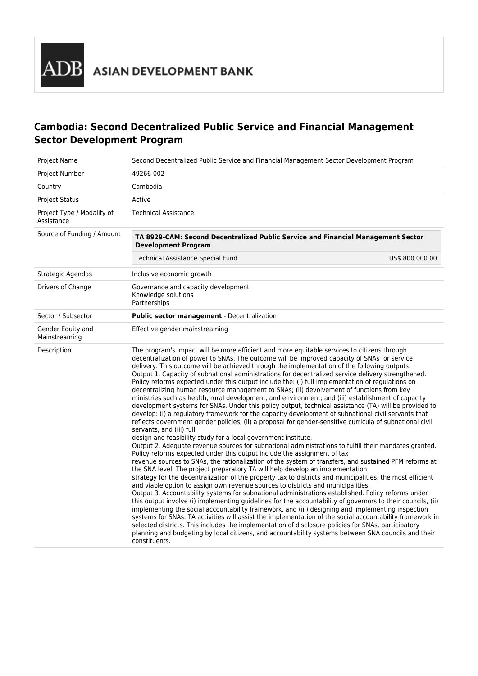# **Cambodia: Second Decentralized Public Service and Financial Management Sector Development Program**

| <b>Project Name</b>                      | Second Decentralized Public Service and Financial Management Sector Development Program                                                                                                                                                                                                                                                                                                                                                                                                                                                                                                                                                                                                                                                                                                                                                                                                                                                                                                                                                                                                                                                                                                                                                                                                                                                                                                                                                                                                                                                                                                                                                                                                                                                                                                                                                                                                                                                                                                                                                                                                                                                                                                                                                                                                                                                                                               |                 |
|------------------------------------------|---------------------------------------------------------------------------------------------------------------------------------------------------------------------------------------------------------------------------------------------------------------------------------------------------------------------------------------------------------------------------------------------------------------------------------------------------------------------------------------------------------------------------------------------------------------------------------------------------------------------------------------------------------------------------------------------------------------------------------------------------------------------------------------------------------------------------------------------------------------------------------------------------------------------------------------------------------------------------------------------------------------------------------------------------------------------------------------------------------------------------------------------------------------------------------------------------------------------------------------------------------------------------------------------------------------------------------------------------------------------------------------------------------------------------------------------------------------------------------------------------------------------------------------------------------------------------------------------------------------------------------------------------------------------------------------------------------------------------------------------------------------------------------------------------------------------------------------------------------------------------------------------------------------------------------------------------------------------------------------------------------------------------------------------------------------------------------------------------------------------------------------------------------------------------------------------------------------------------------------------------------------------------------------------------------------------------------------------------------------------------------------|-----------------|
| Project Number                           | 49266-002                                                                                                                                                                                                                                                                                                                                                                                                                                                                                                                                                                                                                                                                                                                                                                                                                                                                                                                                                                                                                                                                                                                                                                                                                                                                                                                                                                                                                                                                                                                                                                                                                                                                                                                                                                                                                                                                                                                                                                                                                                                                                                                                                                                                                                                                                                                                                                             |                 |
| Country                                  | Cambodia                                                                                                                                                                                                                                                                                                                                                                                                                                                                                                                                                                                                                                                                                                                                                                                                                                                                                                                                                                                                                                                                                                                                                                                                                                                                                                                                                                                                                                                                                                                                                                                                                                                                                                                                                                                                                                                                                                                                                                                                                                                                                                                                                                                                                                                                                                                                                                              |                 |
| <b>Project Status</b>                    | Active                                                                                                                                                                                                                                                                                                                                                                                                                                                                                                                                                                                                                                                                                                                                                                                                                                                                                                                                                                                                                                                                                                                                                                                                                                                                                                                                                                                                                                                                                                                                                                                                                                                                                                                                                                                                                                                                                                                                                                                                                                                                                                                                                                                                                                                                                                                                                                                |                 |
| Project Type / Modality of<br>Assistance | <b>Technical Assistance</b>                                                                                                                                                                                                                                                                                                                                                                                                                                                                                                                                                                                                                                                                                                                                                                                                                                                                                                                                                                                                                                                                                                                                                                                                                                                                                                                                                                                                                                                                                                                                                                                                                                                                                                                                                                                                                                                                                                                                                                                                                                                                                                                                                                                                                                                                                                                                                           |                 |
| Source of Funding / Amount               | TA 8929-CAM: Second Decentralized Public Service and Financial Management Sector<br><b>Development Program</b>                                                                                                                                                                                                                                                                                                                                                                                                                                                                                                                                                                                                                                                                                                                                                                                                                                                                                                                                                                                                                                                                                                                                                                                                                                                                                                                                                                                                                                                                                                                                                                                                                                                                                                                                                                                                                                                                                                                                                                                                                                                                                                                                                                                                                                                                        |                 |
|                                          | Technical Assistance Special Fund                                                                                                                                                                                                                                                                                                                                                                                                                                                                                                                                                                                                                                                                                                                                                                                                                                                                                                                                                                                                                                                                                                                                                                                                                                                                                                                                                                                                                                                                                                                                                                                                                                                                                                                                                                                                                                                                                                                                                                                                                                                                                                                                                                                                                                                                                                                                                     | US\$ 800,000.00 |
| Strategic Agendas                        | Inclusive economic growth                                                                                                                                                                                                                                                                                                                                                                                                                                                                                                                                                                                                                                                                                                                                                                                                                                                                                                                                                                                                                                                                                                                                                                                                                                                                                                                                                                                                                                                                                                                                                                                                                                                                                                                                                                                                                                                                                                                                                                                                                                                                                                                                                                                                                                                                                                                                                             |                 |
| Drivers of Change                        | Governance and capacity development<br>Knowledge solutions<br>Partnerships                                                                                                                                                                                                                                                                                                                                                                                                                                                                                                                                                                                                                                                                                                                                                                                                                                                                                                                                                                                                                                                                                                                                                                                                                                                                                                                                                                                                                                                                                                                                                                                                                                                                                                                                                                                                                                                                                                                                                                                                                                                                                                                                                                                                                                                                                                            |                 |
| Sector / Subsector                       | Public sector management - Decentralization                                                                                                                                                                                                                                                                                                                                                                                                                                                                                                                                                                                                                                                                                                                                                                                                                                                                                                                                                                                                                                                                                                                                                                                                                                                                                                                                                                                                                                                                                                                                                                                                                                                                                                                                                                                                                                                                                                                                                                                                                                                                                                                                                                                                                                                                                                                                           |                 |
| Gender Equity and<br>Mainstreaming       | Effective gender mainstreaming                                                                                                                                                                                                                                                                                                                                                                                                                                                                                                                                                                                                                                                                                                                                                                                                                                                                                                                                                                                                                                                                                                                                                                                                                                                                                                                                                                                                                                                                                                                                                                                                                                                                                                                                                                                                                                                                                                                                                                                                                                                                                                                                                                                                                                                                                                                                                        |                 |
| Description                              | The program's impact will be more efficient and more equitable services to citizens through<br>decentralization of power to SNAs. The outcome will be improved capacity of SNAs for service<br>delivery. This outcome will be achieved through the implementation of the following outputs:<br>Output 1. Capacity of subnational administrations for decentralized service delivery strengthened.<br>Policy reforms expected under this output include the: (i) full implementation of regulations on<br>decentralizing human resource management to SNAs; (ii) devolvement of functions from key<br>ministries such as health, rural development, and environment; and (iii) establishment of capacity<br>development systems for SNAs. Under this policy output, technical assistance (TA) will be provided to<br>develop: (i) a regulatory framework for the capacity development of subnational civil servants that<br>reflects government gender policies, (ii) a proposal for gender-sensitive curricula of subnational civil<br>servants, and (iii) full<br>design and feasibility study for a local government institute.<br>Output 2. Adequate revenue sources for subnational administrations to fulfill their mandates granted.<br>Policy reforms expected under this output include the assignment of tax<br>revenue sources to SNAs, the rationalization of the system of transfers, and sustained PFM reforms at<br>the SNA level. The project preparatory TA will help develop an implementation<br>strategy for the decentralization of the property tax to districts and municipalities, the most efficient<br>and viable option to assign own revenue sources to districts and municipalities.<br>Output 3. Accountability systems for subnational administrations established. Policy reforms under<br>this output involve (i) implementing guidelines for the accountability of governors to their councils, (ii)<br>implementing the social accountability framework, and (iii) designing and implementing inspection<br>systems for SNAs. TA activities will assist the implementation of the social accountability framework in<br>selected districts. This includes the implementation of disclosure policies for SNAs, participatory<br>planning and budgeting by local citizens, and accountability systems between SNA councils and their<br>constituents. |                 |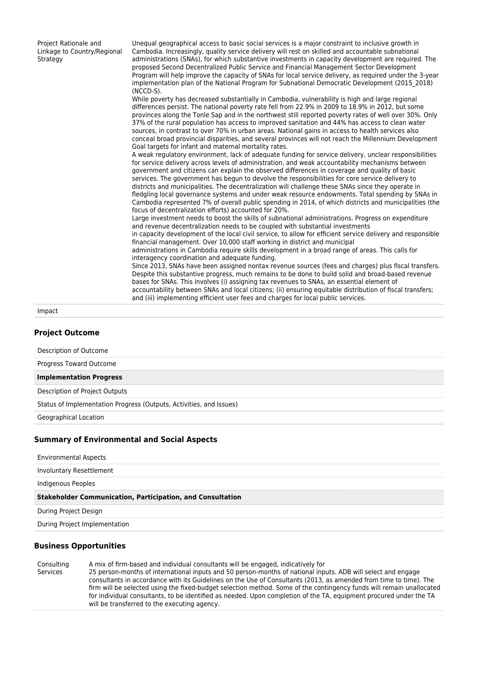| Project Rationale and<br>Linkage to Country/Regional<br>Strategy | Unequal geographical access to basic social services is a major constraint to inclusive growth in<br>Cambodia. Increasingly, quality service delivery will rest on skilled and accountable subnational<br>administrations (SNAs), for which substantive investments in capacity development are required. The<br>proposed Second Decentralized Public Service and Financial Management Sector Development<br>Program will help improve the capacity of SNAs for local service delivery, as reguired under the 3-year<br>implementation plan of the National Program for Subnational Democratic Development (2015 2018)<br>$(NCCD-S)$ .<br>While poverty has decreased substantially in Cambodia, vulnerability is high and large regional<br>differences persist. The national poverty rate fell from 22.9% in 2009 to 18.9% in 2012, but some<br>provinces along the Tonle Sap and in the northwest still reported poverty rates of well over 30%. Only<br>37% of the rural population has access to improved sanitation and 44% has access to clean water<br>sources, in contrast to over 70% in urban areas. National gains in access to health services also<br>conceal broad provincial disparities, and several provinces will not reach the Millennium Development<br>Goal targets for infant and maternal mortality rates.<br>A weak regulatory environment, lack of adequate funding for service delivery, unclear responsibilities<br>for service delivery across levels of administration, and weak accountability mechanisms between<br>government and citizens can explain the observed differences in coverage and quality of basic<br>services. The government has begun to devolve the responsibilities for core service delivery to<br>districts and municipalities. The decentralization will challenge these SNAs since they operate in<br>fledgling local governance systems and under weak resource endowments. Total spending by SNAs in<br>Cambodia represented 7% of overall public spending in 2014, of which districts and municipalities (the<br>focus of decentralization efforts) accounted for 20%.<br>Large investment needs to boost the skills of subnational administrations. Progress on expenditure<br>and revenue decentralization needs to be coupled with substantial investments<br>in capacity development of the local civil service, to allow for efficient service delivery and responsible<br>financial management. Over 10,000 staff working in district and municipal<br>administrations in Cambodia require skills development in a broad range of areas. This calls for |
|------------------------------------------------------------------|--------------------------------------------------------------------------------------------------------------------------------------------------------------------------------------------------------------------------------------------------------------------------------------------------------------------------------------------------------------------------------------------------------------------------------------------------------------------------------------------------------------------------------------------------------------------------------------------------------------------------------------------------------------------------------------------------------------------------------------------------------------------------------------------------------------------------------------------------------------------------------------------------------------------------------------------------------------------------------------------------------------------------------------------------------------------------------------------------------------------------------------------------------------------------------------------------------------------------------------------------------------------------------------------------------------------------------------------------------------------------------------------------------------------------------------------------------------------------------------------------------------------------------------------------------------------------------------------------------------------------------------------------------------------------------------------------------------------------------------------------------------------------------------------------------------------------------------------------------------------------------------------------------------------------------------------------------------------------------------------------------------------------------------------------------------------------------------------------------------------------------------------------------------------------------------------------------------------------------------------------------------------------------------------------------------------------------------------------------------------------------------------------------------------------------------------------------------------------------------------------------------------------------------------------------------------------------------------------------------------------|
|                                                                  | interagency coordination and adequate funding.                                                                                                                                                                                                                                                                                                                                                                                                                                                                                                                                                                                                                                                                                                                                                                                                                                                                                                                                                                                                                                                                                                                                                                                                                                                                                                                                                                                                                                                                                                                                                                                                                                                                                                                                                                                                                                                                                                                                                                                                                                                                                                                                                                                                                                                                                                                                                                                                                                                                                                                                                                           |
|                                                                  | Since 2013, SNAs have been assigned nontax revenue sources (fees and charges) plus fiscal transfers.<br>Despite this substantive progress, much remains to be done to build solid and broad-based revenue<br>bases for SNAs. This involves (i) assigning tax revenues to SNAs, an essential element of                                                                                                                                                                                                                                                                                                                                                                                                                                                                                                                                                                                                                                                                                                                                                                                                                                                                                                                                                                                                                                                                                                                                                                                                                                                                                                                                                                                                                                                                                                                                                                                                                                                                                                                                                                                                                                                                                                                                                                                                                                                                                                                                                                                                                                                                                                                   |
|                                                                  | accountability between SNAs and local citizens; (ii) ensuring equitable distribution of fiscal transfers;<br>and (iii) implementing efficient user fees and charges for local public services.                                                                                                                                                                                                                                                                                                                                                                                                                                                                                                                                                                                                                                                                                                                                                                                                                                                                                                                                                                                                                                                                                                                                                                                                                                                                                                                                                                                                                                                                                                                                                                                                                                                                                                                                                                                                                                                                                                                                                                                                                                                                                                                                                                                                                                                                                                                                                                                                                           |

#### Impact

### **Project Outcome**

Description of Outcome

Progress Toward Outcome

**Implementation Progress**

Description of Project Outputs

Status of Implementation Progress (Outputs, Activities, and Issues)

Geographical Location

#### **Summary of Environmental and Social Aspects**

Environmental Aspects

Involuntary Resettlement

Indigenous Peoples

**Stakeholder Communication, Participation, and Consultation**

During Project Design

During Project Implementation

#### **Business Opportunities**

Consulting Services A mix of firm-based and individual consultants will be engaged, indicatively for 25 person-months of international inputs and 50 person-months of national inputs. ADB will select and engage consultants in accordance with its Guidelines on the Use of Consultants (2013, as amended from time to time). The firm will be selected using the fixed-budget selection method. Some of the contingency funds will remain unallocated for individual consultants, to be identified as needed. Upon completion of the TA, equipment procured under the TA will be transferred to the executing agency.